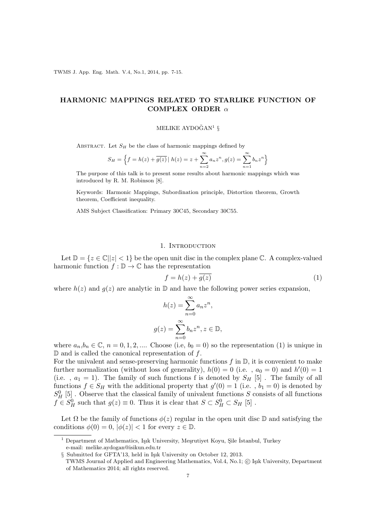TWMS J. App. Eng. Math. V.4, No.1, 2014, pp. 7-15.

## **HARMONIC MAPPINGS RELATED TO STARLIKE FUNCTION OF COMPLEX ORDER** *α*

# MELIKE AYDOĞAN<sup>1</sup>  $\S$

ABSTRACT. Let  $S_H$  be the class of harmonic mappings defined by

$$
S_H = \left\{ f = h(z) + \overline{g(z)} \mid h(z) = z + \sum_{n=2}^{\infty} a_n z^n, g(z) = \sum_{n=1}^{\infty} b_n z^n \right\}
$$

The purpose of this talk is to present some results about harmonic mappings which was introduced by R. M. Robinson [8].

Keywords: Harmonic Mappings, Subordination principle, Distortion theorem, Growth theorem, Coefficient inequality.

AMS Subject Classification: Primary 30C45, Secondary 30C55.

#### 1. INTRODUCTION

Let  $\mathbb{D} = \{z \in \mathbb{C} \mid |z| < 1\}$  be the open unit disc in the complex plane  $\mathbb{C}$ . A complex-valued harmonic function  $f : \mathbb{D} \to \mathbb{C}$  has the representation

$$
f = h(z) + \overline{g(z)}\tag{1}
$$

where  $h(z)$  and  $g(z)$  are analytic in  $\mathbb D$  and have the following power series expansion,

$$
h(z) = \sum_{n=0}^{\infty} a_n z^n,
$$
  

$$
g(z) = \sum_{n=0}^{\infty} b_n z^n, z \in \mathbb{D},
$$

where  $a_n, b_n \in \mathbb{C}$ ,  $n = 0, 1, 2, \dots$  Choose (i.e,  $b_0 = 0$ ) so the representation (1) is unique in D and is called the canonical representation of *f*.

For the univalent and sense-preserving harmonic functions  $f$  in  $\mathbb{D}$ , it is convenient to make further normalization (without loss of generality),  $h(0) = 0$  (i.e.,  $a_0 = 0$ ) and  $h'(0) = 1$ (i.e.,  $a_1 = 1$ ). The family of such functions f is denoted by  $S_H$  [5]. The family of all functions  $f \in S_H$  with the additional property that  $g'(0) = 1$  (i.e.,  $b_1 = 0$ ) is denoted by  $S_H^0$  [5]. Observe that the classical family of univalent functions *S* consists of all functions  $f \in S_H^0$  such that  $g(z) \equiv 0$ . Thus it is clear that  $S \subset S_H^0 \subset S_H$  [5].

Let  $\Omega$  be the family of functions  $\phi(z)$  regular in the open unit disc  $\mathbb D$  and satisfying the conditions  $\phi(0) = 0$ ,  $|\phi(z)| < 1$  for every  $z \in \mathbb{D}$ .

 $1$  Department of Mathematics, Işık University, Meşrutiyet Koyu, Şile İstanbul, Turkey e-mail: melike.aydogan@isikun.edu.tr

<sup>§</sup> Submitted for GFTA'13, held in Isik University on October 12, 2013.

TWMS Journal of Applied and Engineering Mathematics, Vol.4, No.1; © Işık University, Department of Mathematics 2014; all rights reserved.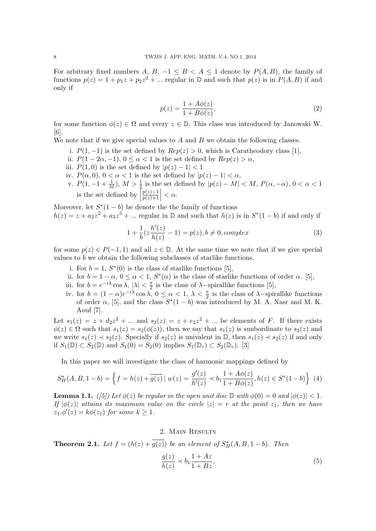For arbitrary fixed numbers *A*, *B*,  $-1 \leq B < A \leq 1$  denote by  $P(A, B)$ , the family of functions  $p(z) = 1 + p_1 z + p_2 z^2 + \dots$  regular in  $\mathbb{D}$  and such that  $p(z)$  is in  $P(A, B)$  if and only if

$$
p(z) = \frac{1 + A\phi(z)}{1 + B\phi(z)},\tag{2}
$$

for some function  $\phi(z) \in \Omega$  and every  $z \in \mathbb{D}$ . This class was introduced by Janowski W. [6].

We note that if we give special values to *A* and *B* we obtain the following classes.

- i.  $P(1,−1)$  is the set defined by  $Rep(z) > 0$ , which is Caratheodory class [1],
- ii.  $P(1-2\alpha,-1), 0 \leq \alpha < 1$  is the set defined by  $Rep(z) > \alpha$ ,
- iii.  $P(1,0)$  is the set defined by  $|p(z)-1|<1$
- iv.  $P(\alpha, 0)$ ,  $0 < \alpha < 1$  is the set defined by  $|p(z) 1| < \alpha$ ,
- v.  $P(1, -1 + \frac{1}{M})$ ,  $M > \frac{1}{2}$  is the set defined by  $|p(z) M| < M$ ,  $P(\alpha, -\alpha)$ ,  $0 < \alpha < 1$ is the set defined by  $\left| \right|$ *p*(*z*)*−*1 *p*(*z*)+1  $\vert < \alpha$ .

Moreover, let  $S^*(1-b)$  be denote the the family of functions  $h(z) = z + a_2 z^2 + a_3 z^3 + \dots$  regular in D and such that  $h(z)$  is in  $S^*(1-b)$  if and only if

$$
1 + \frac{1}{b}(z\frac{h'(z)}{h(z)} - 1) = p(z), b \neq 0, complex
$$
 (3)

for some  $p(z) \in P(-1, 1)$  and all  $z \in \mathbb{D}$ . At the same time we note that if we give special values to *b* we obtain the following subclasses of starlike functions.

- i. For  $b = 1$ ,  $S^*(0)$  is the class of starlike functions [5],
- ii. for  $b = 1 \alpha$ ,  $0 \leq \alpha < 1$ ,  $S^*(\alpha)$  is the class of starlike functions of order  $\alpha$ . [5],
- iii. for  $b = e^{-i\lambda} \cos \lambda$ ,  $|\lambda| < \frac{\pi}{2}$  $\frac{\pi}{2}$  is the class of  $\lambda$ −spirallike functions [5],
- iv. for  $b = (1 \alpha)e^{-i\lambda} \cos \lambda$ ,  $0 \leq \alpha < 1$ ,  $\lambda < \frac{\pi}{2}$  is the class of  $\lambda$ -spirallike functions of order  $\alpha$ , [5], and the class  $S^*(1-b)$  was introduced by M. A. Nasr and M. K. Aouf [7].

Let  $s_1(z) = z + d_2 z^2 + ...$  and  $s_2(z) = z + e_2 z^2 + ...$  be elements of *F*. If there exists  $\phi(z) \in \Omega$  such that  $s_1(z) = s_2(\phi(z))$ , then we say that  $s_1(z)$  is sunbordinate to  $s_2(z)$  and we write  $s_1(z)$  *≺*  $s_2(z)$ . Specially if  $s_2(z)$  is univalent in **D**, then  $s_1(z)$  *≺*  $s_2(z)$  if and only if *S*<sub>1</sub>( $\mathbb{D}$ ) ⊂ *S*<sub>2</sub>( $\mathbb{D}$ ) and *S*<sub>1</sub>(0) = *S*<sub>2</sub>(0) implies *S*<sub>1</sub>( $\mathbb{D}$ <sub>*r*</sub>) ⊂ *S*<sub>2</sub>( $\mathbb{D}$ *r*). [3]

In this paper we will investigate the class of harmonic mappings defined by

$$
S_H^*(A, B, 1 - b) = \left\{ f = h(z) + \overline{g(z)} \mid w(z) = \frac{g'(z)}{h'(z)} \prec b_1 \frac{1 + A\phi(z)}{1 + B\phi(z)}, h(z) \in S^*(1 - b) \right\} (4)
$$

**Lemma 1.1.**  $(|5|)$  Let  $\phi(z)$  be regular in the open unit disc  $\mathbb{D}$  with  $\phi(0) = 0$  and  $|\phi(z)| < 1$ . *If*  $|\phi(z)|$  *attains its maximum value on the circle*  $|z| = r$  *at the point*  $z_1$ *, then we have*  $z_1.\phi'(z) = k\phi(z_1)$  *for some*  $k \geq 1$ *.* 

### 2. Main Results

**Theorem 2.1.** *Let*  $f = (h(z) + g(z))$  *be an element of*  $S_H^*(A, B, 1 - b)$ *. Then* 

$$
\frac{g(z)}{h(z)} \prec b_1 \frac{1+Az}{1+Bz},\tag{5}
$$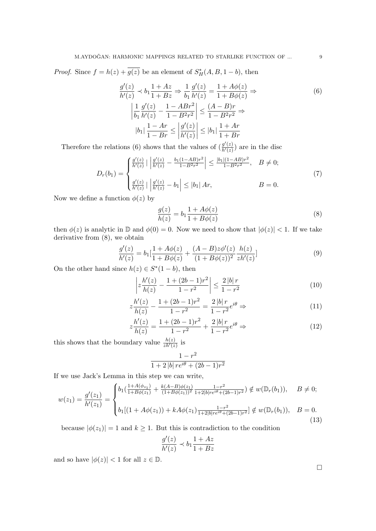*Proof.* Since  $f = h(z) + g(z)$  be an element of  $S_H^*(A, B, 1 - b)$ , then

$$
\frac{g'(z)}{h'(z)} \prec b_1 \frac{1 + Az}{1 + Bz} \Rightarrow \frac{1}{b_1} \frac{g'(z)}{h'(z)} = \frac{1 + A\phi(z)}{1 + B\phi(z)} \Rightarrow
$$
\n
$$
\left| \frac{1}{b_1} \frac{g'(z)}{h'(z)} - \frac{1 - ABr^2}{1 - B^2r^2} \right| \le \frac{(A - B)r}{1 - B^2r^2} \Rightarrow
$$
\n
$$
|b_1| \frac{1 - Ar}{1 - Br} \le \left| \frac{g'(z)}{h'(z)} \right| \le |b_1| \frac{1 + Ar}{1 + Br}
$$
\n(6)

Therefore the relations (6) shows that the values of  $\left(\frac{g'(z)}{h'(z)}\right)$  $\frac{g(z)}{h'(z)}$  are in the disc

$$
D_r(b_1) = \begin{cases} \frac{g'(z)}{h'(z)} \mid \left| \frac{g'(z)}{h'(z)} - \frac{b_1(1 - AB)r^2}{1 - B^2r^2} \right| \le \frac{|b_1|(1 - AB)r^2}{1 - B^2r^2}, & B \ne 0; \\ \frac{g'(z)}{h'(z)} \mid \left| \frac{g'(z)}{h'(z)} - b_1 \right| \le |b_1| \, Ar, & B = 0. \end{cases}
$$
(7)

Now we define a function  $\phi(z)$  by

$$
\frac{g(z)}{h(z)} = b_1 \frac{1 + A\phi(z)}{1 + B\phi(z)}\tag{8}
$$

then  $\phi(z)$  is analytic in  $\mathbb{D}$  and  $\phi(0) = 0$ . Now we need to show that  $|\phi(z)| < 1$ . If we take derivative from (8), we obtain

$$
\frac{g'(z)}{h'(z)} = b_1 \left[ \frac{1 + A\phi(z)}{1 + B\phi(z)} + \frac{(A - B)z\phi'(z)}{(1 + B\phi(z))^2} \frac{h(z)}{zh'(z)} \right]
$$
(9)

On the other hand since  $h(z) \in S^*(1-b)$ , then

$$
\left| z \frac{h'(z)}{h(z)} - \frac{1 + (2b - 1)r^2}{1 - r^2} \right| \le \frac{2 |b| \, r}{1 - r^2} \tag{10}
$$

$$
z\frac{h'(z)}{h(z)} - \frac{1 + (2b - 1)r^2}{1 - r^2} = \frac{2|b|}{1 - r^2}e^{i\theta} \Rightarrow \tag{11}
$$

$$
z\frac{h'(z)}{h(z)} = \frac{1 + (2b - 1)r^2}{1 - r^2} + \frac{2|b|r}{1 - r^2}e^{i\theta} \Rightarrow
$$
 (12)

this shows that the boundary value  $\frac{h(z)}{zh'(z)}$  is

$$
\frac{1-r^2}{1+2\,|b|\,r e^{i\theta}+(2b-1)r^2}
$$

If we use Jack's Lemma in this step we can write,

$$
w(z_1) = \frac{g'(z_1)}{h'(z_1)} = \begin{cases} b_1(\frac{1+A(\phi_{z_1})}{1+B\phi(z_1)} + \frac{k(A-B)\phi(z_1)}{(1+B\phi(z_1))^2} \frac{1-r^2}{1+2|b|re^{i\theta}+(2b-1)r^2}) \notin w(\mathbb{D}_r(b_1)), \quad B \neq 0; \\ b_1[(1+A\phi(z_1)) + kA\phi(z_1) \frac{1-r^2}{1+2|b|re^{i\theta}+(2b-1)r^2}] \notin w(\mathbb{D}_r(b_1)), \quad B = 0. \end{cases}
$$
(13)

because  $|\phi(z_1)| = 1$  and  $k \geq 1$ . But this is contradiction to the condition

$$
\frac{g'(z)}{h'(z)} \prec b_1 \frac{1+Az}{1+Bz}
$$

and so have  $|\phi(z)| < 1$  for all  $z \in \mathbb{D}$ .

 $\Box$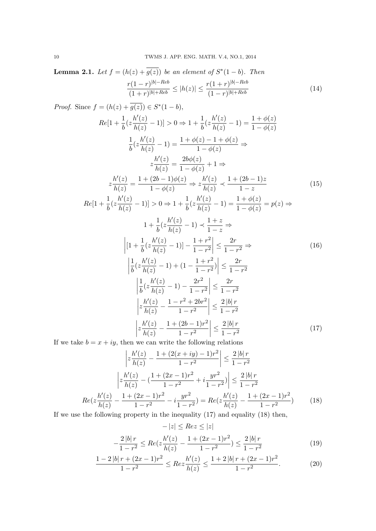**Lemma 2.1.** *Let*  $f = (h(z) + g(z))$  *be an element of*  $S^*(1-b)$ *. Then r*(1 *− r*) *|b|−Reb*  $\frac{r(1 - r)^{|b| - Reb}}{(1 + r)^{|b| + Reb}} \leq |h(z)| \leq \frac{r(1 + r)^{|b| - Reb}}{(1 - r)^{|b| + Reb}}$  $\frac{(1 + r)}{(1 - r)^{|b| + Reb}}$  (14)

Proof. Since 
$$
f = (h(z) + \overline{g(z)}) \in S^*(1 - b)
$$
,  
\n
$$
Re[1 + \frac{1}{b}(z\frac{h'(z)}{h(z)} - 1)] > 0 \Rightarrow 1 + \frac{1}{b}(z\frac{h'(z)}{h(z)} - 1) = \frac{1 + \phi(z)}{1 - \phi(z)}
$$
\n
$$
\frac{1}{b}(z\frac{h'(z)}{h(z)} - 1) = \frac{1 + \phi(z) - 1 + \phi(z)}{1 - \phi(z)} \Rightarrow
$$
\n
$$
z\frac{h'(z)}{h(z)} = \frac{2b\phi(z)}{1 - \phi(z)} + 1 \Rightarrow
$$
\n
$$
z\frac{h'(z)}{h(z)} = \frac{1 + (2b - 1)\phi(z)}{1 - \phi(z)} \Rightarrow z\frac{h'(z)}{h(z)} < \frac{1 + (2b - 1)z}{1 - z}
$$
\n
$$
Re[1 + \frac{1}{b}(z\frac{h'(z)}{h(z)} - 1)] > 0 \Rightarrow 1 + \frac{1}{b}(z\frac{h'(z)}{h(z)} - 1) = \frac{1 + \phi(z)}{1 - \phi(z)} = p(z) \Rightarrow
$$
\n
$$
1 + \frac{1}{b}(z\frac{h'(z)}{h(z)} - 1) < \frac{1 + z}{1 - z} \Rightarrow
$$
\n
$$
\left| [1 + \frac{1}{b}(z\frac{h'(z)}{h(z)} - 1)] - \frac{1 + r^2}{1 - r^2} \right| \le \frac{2r}{1 - r^2} \Rightarrow
$$
\n
$$
\left| \frac{1}{b}(z\frac{h'(z)}{h(z)} - 1) + (1 - \frac{1 + r^2}{1 - r^2}) \right| \le \frac{2r}{1 - r^2}
$$
\n
$$
\left| \frac{1}{b}(z\frac{h'(z)}{h(z)} - 1) - \frac{2r^2}{1 - r^2} \right| \le \frac{2r}{1 - r^2}
$$
\n
$$
\left| \frac{h'(z)}{h(z)} - \frac{1 - r^2 + 2br^2}{1 - r^2} \right| \le \frac{2|b|r}{1 - r^2}
$$
\n
$$
\left| z\frac{h'(z)}{h(z)} - \frac{1 + (2b - 1)r^2}{1 - r^2} \right| \le \frac{2|b|r}{
$$

If we take  $b = x + iy$ , then we can write the following relations

$$
\left| z \frac{h'(z)}{h(z)} - \frac{1 + (2(x + iy) - 1)r^2}{1 - r^2} \right| \le \frac{2|b|r}{1 - r^2}
$$

$$
\left| z \frac{h'(z)}{h(z)} - \left( \frac{1 + (2x - 1)r^2}{1 - r^2} + i \frac{yr^2}{1 - r^2} \right) \right| \le \frac{2|b|r}{1 - r^2}
$$

$$
Re(z \frac{h'(z)}{h(z)} - \frac{1 + (2x - 1)r^2}{1 - r^2} - i \frac{yr^2}{1 - r^2}) = Re(z \frac{h'(z)}{h(z)} - \frac{1 + (2x - 1)r^2}{1 - r^2}) \tag{18}
$$

If we use the following property in the inequality (17) and equality (18) then,

$$
-|z| \leq Re z \leq |z|
$$
  

$$
-\frac{2|b|r}{1-r^2} \leq Re(z\frac{h'(z)}{h(z)} - \frac{1+(2x-1)r^2}{1-r^2}) \leq \frac{2|b|r}{1-r^2}
$$
 (19)

$$
\frac{1-2|b| \, r + (2x-1)r^2}{1-r^2} \leq Re z \frac{h'(z)}{h(z)} \leq \frac{1+2|b| \, r + (2x-1)r^2}{1-r^2}.\tag{20}
$$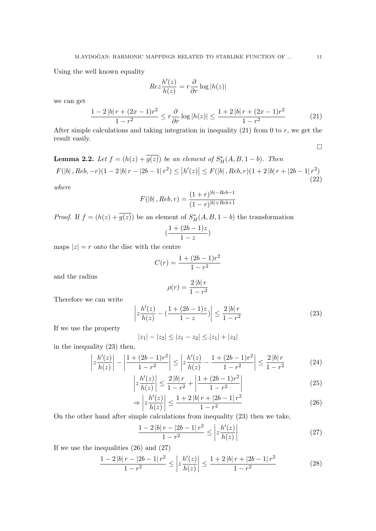Using the well known equality

$$
Re z \frac{h'(z)}{h(z)} = r \frac{\partial}{\partial r} \log |h(z)|
$$

we can get

$$
\frac{1-2|b|r+(2x-1)r^2}{1-r^2} \le r\frac{\partial}{\partial r}\log|h(z)| \le \frac{1+2|b|r+(2x-1)r^2}{1-r^2}
$$
(21)

After simple calculations and taking integration in inequality  $(21)$  from 0 to *r*, we get the result easily.

$$
\Box
$$

**Lemma 2.2.** *Let*  $f = (h(z) + g(z))$  *be an element of*  $S_H^*(A, B, 1 - b)$ *. Then*  $F(|b|, Reb, -r)(1-2|b|r-|2b-1|r^2) \le |h'(z)| \le F(|b|, Reb, r)(1+2|b|r+|2b-1|r^2)$  $(22)$ 

*where*

$$
F(|b|, Reb, r) = \frac{(1+r)^{|b|-Reb-1}}{(1-r)^{|b|+Reb+1}}
$$

*Proof.* If  $f = (h(z) + g(z))$  be an element of  $S_H^*(A, B, 1 - b)$  the transformation

$$
(\frac{1+(2b-1)z}{1-z})
$$

maps  $|z| = r$  onto the disc with the centre

$$
C(r) = \frac{1 + (2b - 1)r^2}{1 - r^2}
$$

and the radius

$$
\rho(r) = \frac{2|b| \, r}{1 - r^2}
$$

Therefore we can write

$$
\left| z \frac{h'(z)}{h(z)} - \left( \frac{1 + (2b - 1)z}{1 - z} \right) \right| \le \frac{2 |b| r}{1 - r^2}
$$
 (23)

If we use the property

$$
|z_1| - |z_2| \le |z_1 - z_2| \le |z_1| + |z_2|
$$

in the inequality (23) then,

$$
\left| z \frac{h'(z)}{h(z)} \right| - \left| \frac{1 + (2b - 1)r^2}{1 - r^2} \right| \le \left| z \frac{h'(z)}{h(z)} - \frac{1 + (2b - 1)r^2}{1 - r^2} \right| \le \frac{2|b| \, r}{1 - r^2} \tag{24}
$$

$$
\left| z \frac{h'(z)}{h(z)} \right| \le \frac{2|b| \, r}{1 - r^2} + \left| \frac{1 + (2b - 1)r^2}{1 - r^2} \right| \tag{25}
$$

$$
\Rightarrow \left| z \frac{h'(z)}{h(z)} \right| \le \frac{1 + 2|b| \, r + |2b - 1| \, r^2}{1 - r^2} \tag{26}
$$

On the other hand after simple calculations from inequality (23) then we take,

$$
\frac{1 - 2|b|r - |2b - 1|r^2}{1 - r^2} \le \left| z \frac{h'(z)}{h(z)} \right| \tag{27}
$$

If we use the inequalities (26) and (27)

$$
\frac{1-2|b|r - |2b-1|r^2}{1-r^2} \le \left| z \frac{h'(z)}{h(z)} \right| \le \frac{1+2|b|r + |2b-1|r^2}{1-r^2} \tag{28}
$$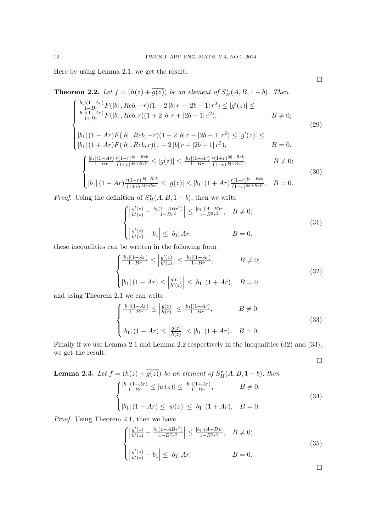Here by using Lemma 2*.*1, we get the result.

**Theorem 2.2.** *Let*  $f = (h(z) + g(z))$  *be an element of*  $S_H^*(A, B, 1 - b)$ *. Then* 

$$
\begin{cases}\n\frac{|b_1|(1-Ar)}{1-Br}F(|b|, Reb, -r)(1-2|b|r-|2b-1|r^2) \le |g'(z)| \le \\
\frac{|b_1|(1+Ar)}{1+Br}F(|b|, Reb, r)(1+2|b|r+|2b-1|r^2), & B \neq 0; \\
|b_1|(1-Ar)F(|b|, Reb, -r)(1-2|b|r-|2b-1|r^2) \le |g'(z)| \le \\
|b_1|(1+Ar)F(|b|, Reb, r)(1+2|b|r+|2b-1|r^2), & B = 0.\n\end{cases}
$$
\n(29)

$$
|b_1| (1 + Ar)F(|b|, Reb, r)(1 + 2|b|r + |2b - 1|r^2), \qquad B = 0.
$$
  

$$
\begin{cases} \frac{|b_1|(1 - Ar)}{1 - Br} \frac{r(1 - r)|b| - Reb}{(1 + r)|b| + Reb} \le |g(z)| \le \frac{|b_1|(1 + Ar)}{1 + Br} \frac{r(1 + r)|b| - Reb}{(1 - r)|b| + Reb}, \qquad B \neq 0; \end{cases}
$$
(30)

$$
\left( |b_1| (1 - Ar)^{\frac{r(1-r)^{|b|-Reb}{(1+r)^{|b|+Reb}}} \le |g(z)| \le |b_1| (1+Ar)^{\frac{r(1+r)^{|b|-Reb}{(1-r)^{|b|+Reb}}}, B = 0. \right)
$$

*Proof.* Using the definition of  $S_H^*(A, B, 1-b)$ , then we write

$$
\begin{cases} \left| \frac{g'(z)}{h'(z)} - \frac{b_1(1 - ABr^2)}{1 - Br^2} \right| \le \frac{|b_1|(A - B)r}{1 - B^2r^2}, \quad B \ne 0; \\ \left| \frac{g'(z)}{h'(z)} - b_1 \right| \le |b_1| \, Ar, \qquad B = 0. \end{cases} \tag{31}
$$

these inequalities can be written in the following form

$$
\begin{cases} \frac{|b_1|(1-Ar)}{1-Br} \le \left| \frac{g'(z)}{h'(z)} \right| \le \frac{|b_1|(1+Ar)}{1+Br}, & B \ne 0; \\ |b_1|(1-Ar) \le \left| \frac{g'(z)}{h'(z)} \right| \le |b_1|(1+Ar), & B = 0. \end{cases}
$$
(32)

and using Theorem 2*.*1 we can write

$$
\begin{cases} \frac{|b_1|(1-Ar)}{1-Br} \le \left| \frac{g(z)}{h(z)} \right| \le \frac{|b_1|(1+Ar)}{1+Br}, & B \ne 0; \\ \left| b_1 \right| (1-Ar) \le \left| \frac{g(z)}{h(z)} \right| \le |b_1| (1+Ar), & B = 0. \end{cases}
$$
(33)

Finally if we use Lemma 2.1 and Lemma 2.2 respectively in the inequalities  $(32)$  and  $(33)$ , we get the result.

**Lemma 2.3.** Let 
$$
f = (h(z) + \overline{g(z)})
$$
 be an element of  $S_H^*(A, B, 1 - b)$ , then  
\n
$$
\begin{cases}\n\frac{|b_1|(1-Ar)}{1-Br} \le |w(z)| \le \frac{|b_1|(1+Ar)}{1+Br}, & B \neq 0; \\
|b_1|(1-Ar) \le |w(z)| \le |b_1|(1+Ar), & B = 0.\n\end{cases}
$$
\n(34)

*Proof.* Using Theorem 2*.*1, then we have

$$
\begin{cases} \left| \frac{g'(z)}{h'(z)} - \frac{b_1(1 - ABr^2)}{1 - B^2r^2} \right| \le \frac{|b_1|(A - B)r}{1 - B^2r^2}, \quad B \ne 0; \\ \left| \frac{g'(z)}{h'(z)} - b_1 \right| \le |b_1| \, Ar, \qquad B = 0. \end{cases} \tag{35}
$$

 $\Box$ 

 $\Box$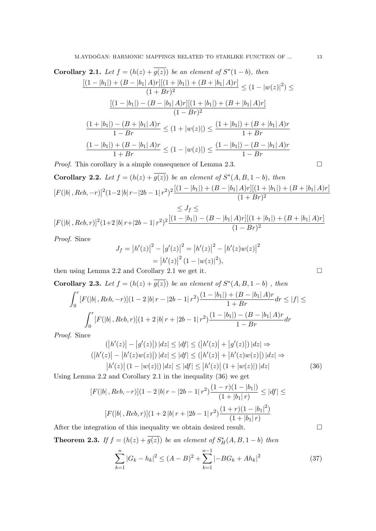**Corollary 2.1.** *Let*  $f = (h(z) + g(z))$  *be an element of*  $S^*(1-b)$ *, then*  $[(1 - |b_1|) + (B - |b_1| A)r][(1 + |b_1|) + (B + |b_1| A)r]$  $\frac{A[r][(1+|b_1|)+(B+|b_1|A)r]}{(1+Br)^2} \leq (1-|w(z)|^2) \leq$  $[(1 - |b_1|) - (B - |b_1| A)r][(1 + |b_1|) + (B + |b_1| A)r]$  $(1 - Br)^2$ 

$$
\frac{(1+|b_1|)-(B+|b_1|A)r}{1-Br}\leq (1+|w(z)|)\leq \frac{(1+|b_1|)+(B+|b_1|A)r}{1+Br}
$$

$$
\frac{(1-|b_1|)+(B-|b_1|A)r}{1+Br}\leq (1-|w(z)|)\leq \frac{(1-|b_1|)-(B-|b_1|A)r}{1-Br}
$$

*Proof.* This corollary is a simple consequence of Lemma 2.3. □

**Corollary 2.2.** Let 
$$
f = (h(z) + \overline{g(z)})
$$
 be an element of  $S^*(A, B, 1 - b)$ , then  
\n
$$
[F(|b|, Reb, -r)]^2 (1-2|b|r-|2b-1|r^2)^2 \frac{[(1-|b_1|)+(B-|b_1|A)r][(1+|b_1|)+(B+|b_1|A)r]}{(1+Br)^2}
$$
\n
$$
\leq I_{\varepsilon} \leq
$$

$$
\leq J \leq
$$
  
[F(|b|, Reb, r)]<sup>2</sup>(1+2|b|r+|2b-1|r<sup>2</sup>)<sup>2</sup> $\frac{[(1-|b_1|)-(B-|b_1|A)r][(1+|b_1|)+(B+|b_1|A)r]}{(1-Br)^{2}}$ 

*Proof.* Since

$$
J_f = |h'(z)|^2 - |g'(z)|^2 = |h'(z)|^2 - |h'(z)w(z)|^2
$$
  
=  $|h'(z)|^2 (1 - |w(z)|^2),$ 

then using Lemma 2*.*2 and Corollary 2*.*1 we get it.

Corollary 2.3. Let 
$$
f = (h(z) + g(z))
$$
 be an element of  $S^*(A, B, 1 - b)$ , then  
\n
$$
\int_0^r [F(|b|, Reb, -r)](1 - 2|b|r - |2b - 1|r^2)\frac{(1 - |b_1|) + (B - |b_1|A)r}{1 + Br} dr \le |f|
$$
\n
$$
\int_0^r [F(|b|, Reb, r)](1 + 2|b|r + |2b - 1|r^2)\frac{(1 - |b_1|) - (B - |b_1|A)r}{1 - Br} dr
$$

*Proof.* Since

$$
(|h'(z)| - |g'(z)|) |dz| \le |df| \le (|h'(z)| + |g'(z)|) |dz| \Rightarrow
$$
  
\n
$$
(|h'(z)| - |h'(z)w(z)|) |dz| \le |df| \le (|h'(z)| + |h'(z)w(z)|) |dz| \Rightarrow
$$
  
\n
$$
|h'(z)| (1 - |w(z)|) |dz| \le |df| \le |h'(z)| (1 + |w(z)|) |dz|
$$
\n(36)

Using Lemma 2*.*2 and Corollary 2*.*1 in the inequality (36) we get

$$
[F(|b|, Reb, -r)](1 - 2|b|r - |2b - 1|r^2)\frac{(1 - r)(1 - |b_1|)}{(1 + |b_1|r)} \le |df| \le |F(|b|, Reb, r)](1 + 2|b|r + |2b - 1|r^2)\frac{(1 + r)(1 - |b_1|^2)}{(1 + |b_1|r)}
$$

After the integration of this inequality we obtain desired result.  $\Box$ 

**Theorem 2.3.** *If*  $f = (h(z) + g(z))$  *be an element of*  $S_H^*(A, B, 1 - b)$  *then* 

$$
\sum_{k=1}^{n} |G_k - h_k|^2 \le (A - B)^2 + \sum_{k=1}^{n-1} |-BG_k + Ah_k|^2
$$
\n(37)

*dr ≤ |f| ≤*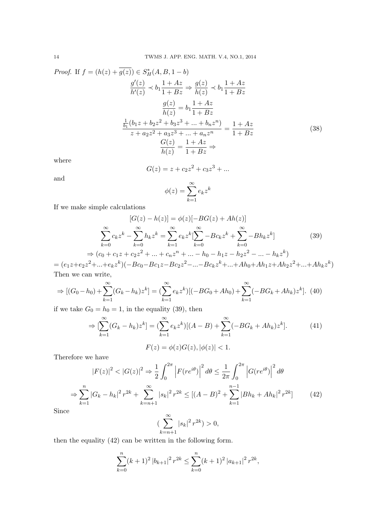Proof. If 
$$
f = (h(z) + \overline{g(z)}) \in S_H^*(A, B, 1 - b)
$$
  
\n
$$
\frac{g'(z)}{h'(z)} \prec b_1 \frac{1 + Az}{1 + Bz} \Rightarrow \frac{g(z)}{h(z)} \prec b_1 \frac{1 + Az}{1 + Bz}
$$
\n
$$
\frac{g(z)}{h(z)} = b_1 \frac{1 + Az}{1 + Bz}
$$
\n
$$
\frac{\frac{1}{b_1}(b_1z + b_2z^2 + b_3z^3 + \dots + b_nz^n)}{z + a_2z^2 + a_3z^3 + \dots + a_nz^n} = \frac{1 + Az}{1 + Bz}
$$
\n(38)

where

$$
G(z) = z + c_2 z^2 + c_3 z^3 + \dots
$$

and

$$
\phi(z) = \sum_{k=1}^{\infty} e_k z^k
$$

If we make simple calculations

$$
[G(z) - h(z)] = \phi(z)[-BG(z) + Ah(z)]
$$
  

$$
\sum_{k=0}^{\infty} c_k z^k - \sum_{k=0}^{\infty} h_k z^k = \sum_{k=1}^{\infty} e_k z^k [\sum_{k=0}^{\infty} -Bc_k z^k + \sum_{k=0}^{\infty} -Bh_k z^k]
$$
(39)  

$$
\Rightarrow (c_0 + c_1 z + c_2 z^2 + \dots + c_n z^n + \dots - h_0 - h_1 z - h_2 z^2 - \dots - h_k z^k)
$$

 $=(e_1z+e_2z^2+...+e_kz^k)(-Bc_0-Bc_1z-Bc_2z^2-...-Bc_kz^k+...+Ah_0+Ah_1z+Ah_2z^2+...+Ah_kz^k)$ Then we can write,

$$
\Rightarrow [(G_0 - h_0) + \sum_{k=1}^{\infty} (G_k - h_k)z^k] = (\sum_{k=1}^{\infty} e_k z^k)[(-BG_0 + Ah_0) + \sum_{k=1}^{\infty} (-BG_k + Ah_k)z^k].
$$
 (40)

if we take  $G_0 = h_0 = 1$ , in the equality (39), then

$$
\Rightarrow \left[\sum_{k=1}^{\infty} (G_k - h_k) z^k\right] = \left(\sum_{k=1}^{\infty} e_k z^k\right) \left[(A - B) + \sum_{k=1}^{\infty} (-BG_k + Ah_k) z^k\right].
$$
\n
$$
F(z) = \phi(z)G(z), |\phi(z)| < 1.
$$
\n(41)

Therefore we have

$$
|F(z)|^2 < |G(z)|^2 \Rightarrow \frac{1}{2} \int_0^{2\pi} \left| F(re^{i\theta}) \right|^2 d\theta \le \frac{1}{2\pi} \int_0^{2\pi} \left| G(re^{i\theta}) \right|^2 d\theta
$$
\n
$$
\Rightarrow \sum_{k=1}^n |G_k - h_k|^2 r^{2k} + \sum_{k=n+1}^\infty |s_k|^2 r^{2k} \le [(A - B)^2 + \sum_{k=1}^{n-1} |Bh_k + Ah_k|^2 r^{2k}] \tag{42}
$$
\nSince

\n
$$
\sum_{k=1}^\infty |s_k|^2 r^{2k} > 0,
$$

Since

$$
\left(\sum_{k=n+1}^{\infty} |s_k|^2 r^{2k}\right) > 0,
$$

then the equality (42) can be written in the following form.

$$
\sum_{k=0}^{n} (k+1)^2 |b_{k+1}|^2 r^{2k} \le \sum_{k=0}^{n} (k+1)^2 |a_{k+1}|^2 r^{2k},
$$